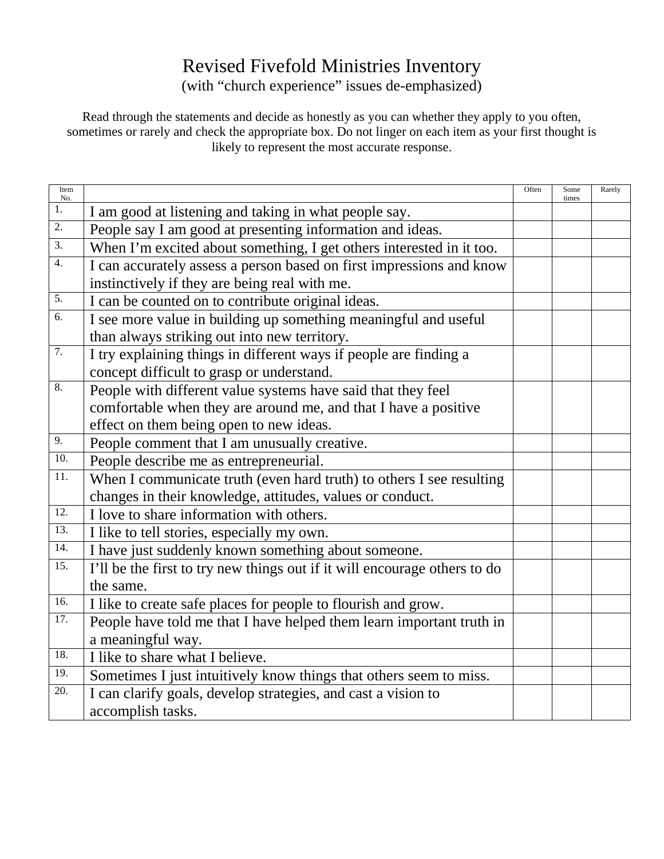## Revised Fivefold Ministries Inventory

(with "church experience" issues de-emphasized)

Read through the statements and decide as honestly as you can whether they apply to you often, sometimes or rarely and check the appropriate box. Do not linger on each item as your first thought is likely to represent the most accurate response.

| Item<br>No.       |                                                                           | Often | Some<br>times | Rarely |
|-------------------|---------------------------------------------------------------------------|-------|---------------|--------|
| 1.                | I am good at listening and taking in what people say.                     |       |               |        |
| 2.                | People say I am good at presenting information and ideas.                 |       |               |        |
| 3.                | When I'm excited about something, I get others interested in it too.      |       |               |        |
| 4.                | I can accurately assess a person based on first impressions and know      |       |               |        |
|                   | instinctively if they are being real with me.                             |       |               |        |
| 5.                | I can be counted on to contribute original ideas.                         |       |               |        |
| $\overline{6}$ .  | I see more value in building up something meaningful and useful           |       |               |        |
|                   | than always striking out into new territory.                              |       |               |        |
| $\overline{7}$ .  | I try explaining things in different ways if people are finding a         |       |               |        |
|                   | concept difficult to grasp or understand.                                 |       |               |        |
| 8.                | People with different value systems have said that they feel              |       |               |        |
|                   | comfortable when they are around me, and that I have a positive           |       |               |        |
|                   | effect on them being open to new ideas.                                   |       |               |        |
| 9.                | People comment that I am unusually creative.                              |       |               |        |
| 10.               | People describe me as entrepreneurial.                                    |       |               |        |
| $\overline{11}$ . | When I communicate truth (even hard truth) to others I see resulting      |       |               |        |
|                   | changes in their knowledge, attitudes, values or conduct.                 |       |               |        |
| 12.               | I love to share information with others.                                  |       |               |        |
| 13.               | I like to tell stories, especially my own.                                |       |               |        |
| 14.               | I have just suddenly known something about someone.                       |       |               |        |
| 15.               | I'll be the first to try new things out if it will encourage others to do |       |               |        |
|                   | the same.                                                                 |       |               |        |
| 16.               | I like to create safe places for people to flourish and grow.             |       |               |        |
| 17.               | People have told me that I have helped them learn important truth in      |       |               |        |
|                   | a meaningful way.                                                         |       |               |        |
| 18.               | I like to share what I believe.                                           |       |               |        |
| 19.               | Sometimes I just intuitively know things that others seem to miss.        |       |               |        |
| 20.               | I can clarify goals, develop strategies, and cast a vision to             |       |               |        |
|                   | accomplish tasks.                                                         |       |               |        |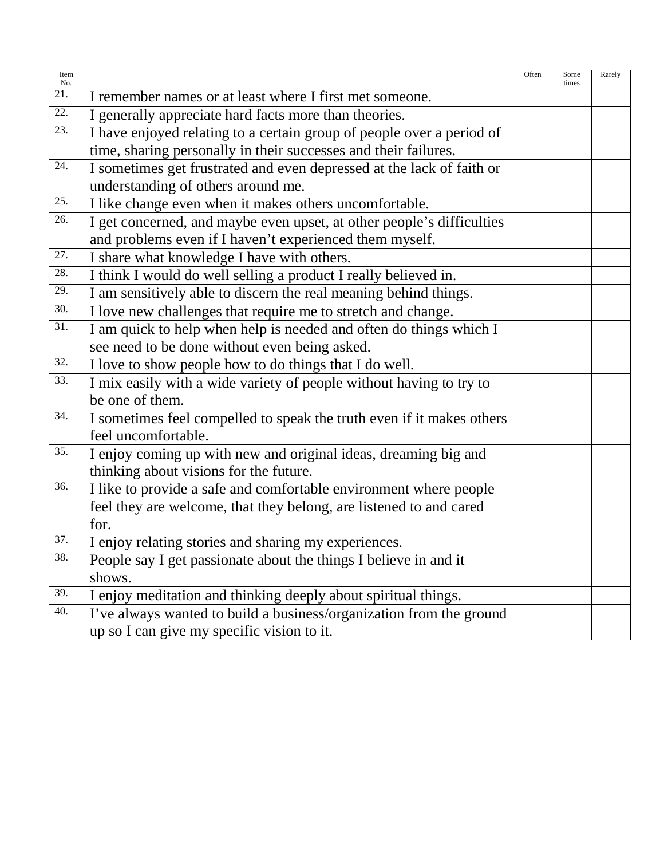| Item<br>No. |                                                                       | Often | Some<br>times | Rarely |
|-------------|-----------------------------------------------------------------------|-------|---------------|--------|
| 21.         | I remember names or at least where I first met someone.               |       |               |        |
| 22.         | I generally appreciate hard facts more than theories.                 |       |               |        |
| 23.         | I have enjoyed relating to a certain group of people over a period of |       |               |        |
|             | time, sharing personally in their successes and their failures.       |       |               |        |
| 24.         | I sometimes get frustrated and even depressed at the lack of faith or |       |               |        |
|             | understanding of others around me.                                    |       |               |        |
| 25.         | I like change even when it makes others uncomfortable.                |       |               |        |
| 26.         | I get concerned, and maybe even upset, at other people's difficulties |       |               |        |
|             | and problems even if I haven't experienced them myself.               |       |               |        |
| 27.         | I share what knowledge I have with others.                            |       |               |        |
| 28.         | I think I would do well selling a product I really believed in.       |       |               |        |
| 29.         | I am sensitively able to discern the real meaning behind things.      |       |               |        |
| 30.         | I love new challenges that require me to stretch and change.          |       |               |        |
| 31.         | I am quick to help when help is needed and often do things which I    |       |               |        |
|             | see need to be done without even being asked.                         |       |               |        |
| 32.         | I love to show people how to do things that I do well.                |       |               |        |
| 33.         | I mix easily with a wide variety of people without having to try to   |       |               |        |
|             | be one of them.                                                       |       |               |        |
| 34.         | I sometimes feel compelled to speak the truth even if it makes others |       |               |        |
|             | feel uncomfortable.                                                   |       |               |        |
| 35.         | I enjoy coming up with new and original ideas, dreaming big and       |       |               |        |
|             | thinking about visions for the future.                                |       |               |        |
| 36.         | I like to provide a safe and comfortable environment where people     |       |               |        |
|             | feel they are welcome, that they belong, are listened to and cared    |       |               |        |
|             | for.                                                                  |       |               |        |
| 37.         | I enjoy relating stories and sharing my experiences.                  |       |               |        |
| 38.         | People say I get passionate about the things I believe in and it      |       |               |        |
|             | shows.                                                                |       |               |        |
| 39.         | I enjoy meditation and thinking deeply about spiritual things.        |       |               |        |
| 40.         | I've always wanted to build a business/organization from the ground   |       |               |        |
|             | up so I can give my specific vision to it.                            |       |               |        |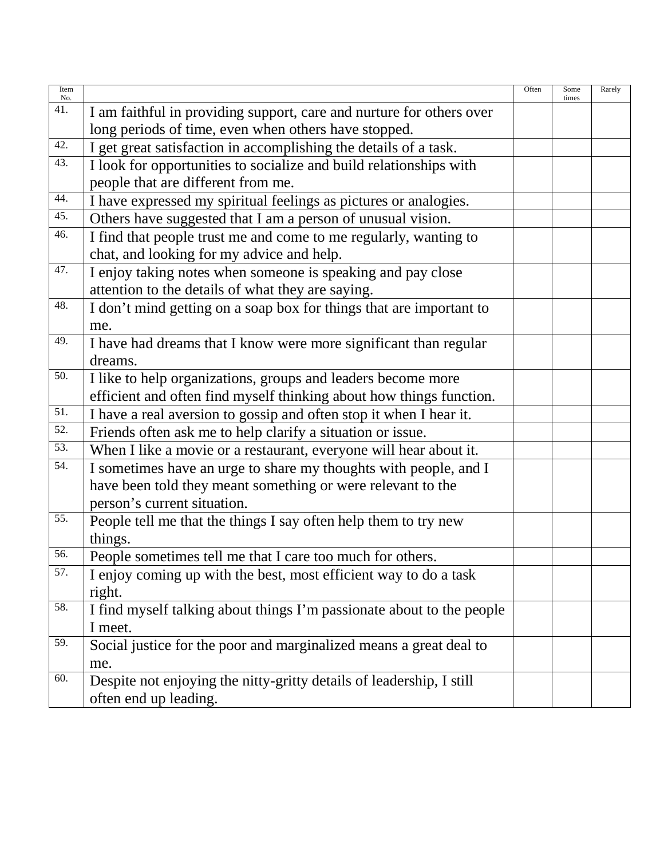| Item<br>No. |                                                                       | Often | Some<br>times | Rarely |
|-------------|-----------------------------------------------------------------------|-------|---------------|--------|
| 41.         | I am faithful in providing support, care and nurture for others over  |       |               |        |
|             | long periods of time, even when others have stopped.                  |       |               |        |
| 42.         | I get great satisfaction in accomplishing the details of a task.      |       |               |        |
| 43.         | I look for opportunities to socialize and build relationships with    |       |               |        |
|             | people that are different from me.                                    |       |               |        |
| 44.         | I have expressed my spiritual feelings as pictures or analogies.      |       |               |        |
| 45.         | Others have suggested that I am a person of unusual vision.           |       |               |        |
| 46.         | I find that people trust me and come to me regularly, wanting to      |       |               |        |
|             | chat, and looking for my advice and help.                             |       |               |        |
| 47.         | I enjoy taking notes when someone is speaking and pay close           |       |               |        |
|             | attention to the details of what they are saying.                     |       |               |        |
| 48.         | I don't mind getting on a soap box for things that are important to   |       |               |        |
|             | me.                                                                   |       |               |        |
| 49.         | I have had dreams that I know were more significant than regular      |       |               |        |
|             | dreams.                                                               |       |               |        |
| 50.         | I like to help organizations, groups and leaders become more          |       |               |        |
|             | efficient and often find myself thinking about how things function.   |       |               |        |
| 51.         | I have a real aversion to gossip and often stop it when I hear it.    |       |               |        |
| 52.         | Friends often ask me to help clarify a situation or issue.            |       |               |        |
| 53.         | When I like a movie or a restaurant, everyone will hear about it.     |       |               |        |
| 54.         | I sometimes have an urge to share my thoughts with people, and I      |       |               |        |
|             | have been told they meant something or were relevant to the           |       |               |        |
|             | person's current situation.                                           |       |               |        |
| 55.         | People tell me that the things I say often help them to try new       |       |               |        |
|             | things.                                                               |       |               |        |
| 56.         | People sometimes tell me that I care too much for others.             |       |               |        |
| 57.         | I enjoy coming up with the best, most efficient way to do a task      |       |               |        |
|             | right.                                                                |       |               |        |
| 58.         | I find myself talking about things I'm passionate about to the people |       |               |        |
|             | I meet.                                                               |       |               |        |
| 59.         | Social justice for the poor and marginalized means a great deal to    |       |               |        |
|             | me.                                                                   |       |               |        |
| 60.         | Despite not enjoying the nitty-gritty details of leadership, I still  |       |               |        |
|             | often end up leading.                                                 |       |               |        |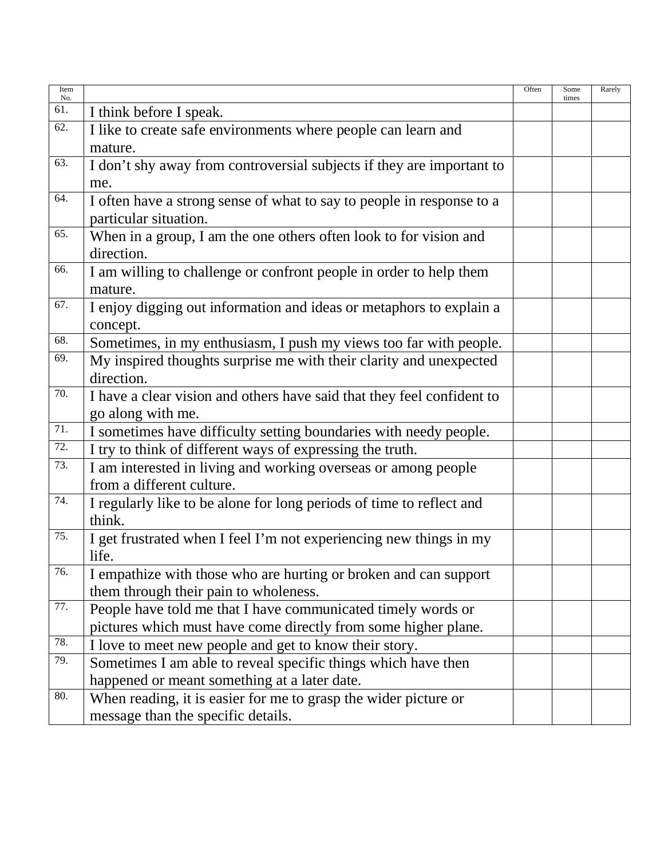| Item<br>No. |                                                                        | Often | Some<br>times | Rarely |
|-------------|------------------------------------------------------------------------|-------|---------------|--------|
| 61.         | I think before I speak.                                                |       |               |        |
| 62.         | I like to create safe environments where people can learn and          |       |               |        |
|             | mature.                                                                |       |               |        |
| 63.         | I don't shy away from controversial subjects if they are important to  |       |               |        |
|             | me.                                                                    |       |               |        |
| 64.         | I often have a strong sense of what to say to people in response to a  |       |               |        |
|             | particular situation.                                                  |       |               |        |
| 65.         | When in a group, I am the one others often look to for vision and      |       |               |        |
|             | direction.                                                             |       |               |        |
| 66.         | I am willing to challenge or confront people in order to help them     |       |               |        |
|             | mature.                                                                |       |               |        |
| 67.         | I enjoy digging out information and ideas or metaphors to explain a    |       |               |        |
|             | concept.                                                               |       |               |        |
| 68.         | Sometimes, in my enthusiasm, I push my views too far with people.      |       |               |        |
| 69.         | My inspired thoughts surprise me with their clarity and unexpected     |       |               |        |
|             | direction.                                                             |       |               |        |
| 70.         | I have a clear vision and others have said that they feel confident to |       |               |        |
|             | go along with me.                                                      |       |               |        |
| 71.         | I sometimes have difficulty setting boundaries with needy people.      |       |               |        |
| 72.         | I try to think of different ways of expressing the truth.              |       |               |        |
| 73.         | I am interested in living and working overseas or among people         |       |               |        |
|             | from a different culture.                                              |       |               |        |
| 74.         | I regularly like to be alone for long periods of time to reflect and   |       |               |        |
|             | think.                                                                 |       |               |        |
| 75.         | I get frustrated when I feel I'm not experiencing new things in my     |       |               |        |
|             | life.                                                                  |       |               |        |
| 76.         | I empathize with those who are hurting or broken and can support       |       |               |        |
|             | them through their pain to wholeness.                                  |       |               |        |
| 77.         | People have told me that I have communicated timely words or           |       |               |        |
|             | pictures which must have come directly from some higher plane.         |       |               |        |
| 78.         | I love to meet new people and get to know their story.                 |       |               |        |
| 79.         | Sometimes I am able to reveal specific things which have then          |       |               |        |
|             | happened or meant something at a later date.                           |       |               |        |
| 80.         | When reading, it is easier for me to grasp the wider picture or        |       |               |        |
|             | message than the specific details.                                     |       |               |        |